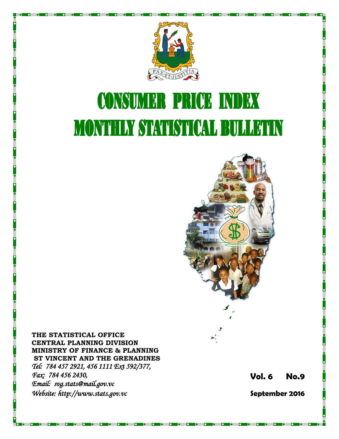

# **CONSUMER PRICE INDEX MONTHLY STATISTICAL BULLETIN**



**THE STATISTICAL OFFICE CENTRAL PLANNING DIVISION MINISTRY OF FINANCE & PLANNING ST VINCENT AND THE GRENADINES** *Tel: 784 457 2921, 456 1111 Ext 592/377, Fax: 784 456 2430, Email: svg.stats@mail.gov.vc Website: http://www.stats.gov.vc* 

**Vol. 6 No. 9**

**September 2016**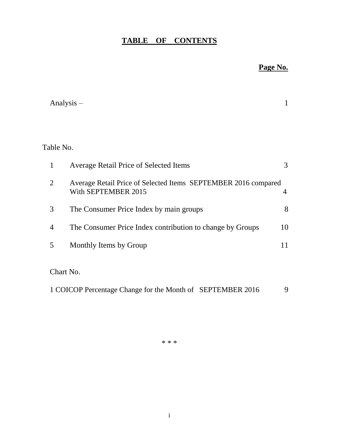# **TABLE OF CONTENTS**

# **Page No.**

|                | Analysis $-$                                                                          |                |
|----------------|---------------------------------------------------------------------------------------|----------------|
|                |                                                                                       |                |
| Table No.      |                                                                                       |                |
| 1              | <b>Average Retail Price of Selected Items</b>                                         | 3              |
| $\overline{2}$ | Average Retail Price of Selected Items SEPTEMBER 2016 compared<br>With SEPTEMBER 2015 | $\overline{4}$ |
| 3              | The Consumer Price Index by main groups                                               | 8              |
| $\overline{4}$ | The Consumer Price Index contribution to change by Groups                             | 10             |
| 5              | Monthly Items by Group                                                                | 11             |
|                | Chart No.                                                                             |                |
|                | 1 COICOP Percentage Change for the Month of SEPTEMBER 2016                            | 9              |

\* \* \*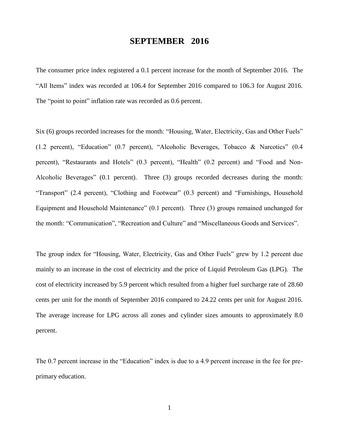## **SEPTEMBER 2016**

The consumer price index registered a 0.1 percent increase for the month of September 2016. The "All Items" index was recorded at 106.4 for September 2016 compared to 106.3 for August 2016. The "point to point" inflation rate was recorded as 0.6 percent.

Six (6) groups recorded increases for the month: "Housing, Water, Electricity, Gas and Other Fuels" (1.2 percent), "Education" (0.7 percent), "Alcoholic Beverages, Tobacco & Narcotics" (0.4 percent), "Restaurants and Hotels" (0.3 percent), "Health" (0.2 percent) and "Food and Non-Alcoholic Beverages" (0.1 percent). Three (3) groups recorded decreases during the month: "Transport" (2.4 percent), "Clothing and Footwear" (0.3 percent) and "Furnishings, Household Equipment and Household Maintenance" (0.1 percent). Three (3) groups remained unchanged for the month: "Communication", "Recreation and Culture" and "Miscellaneous Goods and Services".

The group index for "Housing, Water, Electricity, Gas and Other Fuels" grew by 1.2 percent due mainly to an increase in the cost of electricity and the price of Liquid Petroleum Gas (LPG). The cost of electricity increased by 5.9 percent which resulted from a higher fuel surcharge rate of 28.60 cents per unit for the month of September 2016 compared to 24.22 cents per unit for August 2016. The average increase for LPG across all zones and cylinder sizes amounts to approximately 8.0 percent.

The 0.7 percent increase in the "Education" index is due to a 4.9 percent increase in the fee for preprimary education.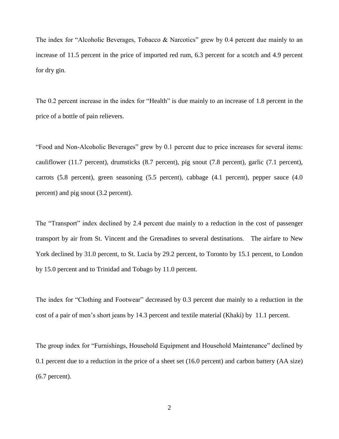The index for "Alcoholic Beverages, Tobacco & Narcotics" grew by 0.4 percent due mainly to an increase of 11.5 percent in the price of imported red rum, 6.3 percent for a scotch and 4.9 percent for dry gin.

The 0.2 percent increase in the index for "Health" is due mainly to an increase of 1.8 percent in the price of a bottle of pain relievers.

"Food and Non-Alcoholic Beverages" grew by 0.1 percent due to price increases for several items: cauliflower (11.7 percent), drumsticks (8.7 percent), pig snout (7.8 percent), garlic (7.1 percent), carrots (5.8 percent), green seasoning (5.5 percent), cabbage (4.1 percent), pepper sauce (4.0 percent) and pig snout (3.2 percent).

The "Transport" index declined by 2.4 percent due mainly to a reduction in the cost of passenger transport by air from St. Vincent and the Grenadines to several destinations. The airfare to New York declined by 31.0 percent, to St. Lucia by 29.2 percent, to Toronto by 15.1 percent, to London by 15.0 percent and to Trinidad and Tobago by 11.0 percent.

The index for "Clothing and Footwear" decreased by 0.3 percent due mainly to a reduction in the cost of a pair of men's short jeans by 14.3 percent and textile material (Khaki) by 11.1 percent.

The group index for "Furnishings, Household Equipment and Household Maintenance" declined by 0.1 percent due to a reduction in the price of a sheet set (16.0 percent) and carbon battery (AA size) (6.7 percent).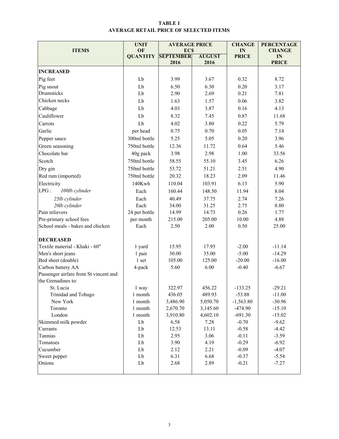## TABLE 1 AVERAGE RETAIL PRICE OF SELECTED ITEMS

|                                       | <b>UNIT</b>     | <b>AVERAGE PRICE</b>     |                       | <b>CHANGE</b>      | <b>PERCENTAGE</b>  |
|---------------------------------------|-----------------|--------------------------|-----------------------|--------------------|--------------------|
| <b>ITEMS</b>                          | OF              | <b>ECS</b>               |                       | IN                 | <b>CHANGE</b>      |
|                                       | <b>QUANTITY</b> | <b>SEPTEMBER</b><br>2016 | <b>AUGUST</b><br>2016 | <b>PRICE</b>       | IN<br><b>PRICE</b> |
|                                       |                 |                          |                       |                    |                    |
| <b>INCREASED</b>                      |                 |                          |                       |                    |                    |
| Pig feet                              | Lb              | 3.99                     | 3.67                  | 0.32               | 8.72               |
| Pig snout                             | Lb              | 6.50                     | 6.30                  | 0.20               | 3.17               |
| Drumsticks                            | Lb              | 2.90                     | 2.69                  | 0.21               | 7.81               |
| Chicken necks                         | Lb              | 1.63                     | 1.57                  | 0.06               | 3.82               |
| Cabbage                               | Lb              | 4.03                     | 3.87                  | 0.16               | 4.13               |
| Cauliflower                           | Lb              | 8.32                     | 7.45                  | 0.87               | 11.68              |
| Carrots                               | Lb              | 4.02                     | 3.80                  | 0.22               | 5.79               |
| Garlic                                | per head        | 0.75                     | 0.70                  | 0.05               | 7.14               |
| Pepper sauce                          | 300ml bottle    | 5.25                     | 5.05                  | 0.20               | 3.96               |
| Green seasoning                       | 750ml bottle    | 12.36                    | 11.72                 | 0.64               | 5.46               |
| Chocolate bar                         | 40g pack        | 3.98                     | 2.98                  | 1.00               | 33.56              |
| Scotch                                | 750ml bottle    | 58.55                    | 55.10                 | 3.45               | 6.26               |
| Dry gin                               | 750ml bottle    | 53.72                    | 51.21                 | 2.51               | 4.90               |
| Red rum (imported)                    | 750ml bottle    | 20.32                    | 18.23                 | 2.09               | 11.46              |
| Electricity                           | 140Kwh          | 110.04                   | 103.91                | 6.13               | 5.90               |
| LPG:<br>100lb cylinder                | Each            | 160.44                   | 148.50                | 11.94              | 8.04               |
| 25lb cylinder                         | Each            | 40.49                    | 37.75                 | 2.74               | 7.26               |
| 20lb cylinder                         | Each            | 34.00                    | 31.25                 |                    | 8.80               |
| Pain relievers                        | 24 per bottle   | 14.99                    | 14.73                 | 2.75<br>0.26       | 1.77               |
| Pre-primary school fees               | per month       | 215.00                   | 205.00                | 10.00              | 4.88               |
| School meals - bakes and chicken      | Each            | 2.50                     | 2.00                  | 0.50               | 25.00              |
|                                       |                 |                          |                       |                    |                    |
| <b>DECREASED</b>                      |                 |                          |                       |                    |                    |
| Textile material - Khaki - 60"        | 1 yard          | 15.95                    | 17.95                 | $-2.00$            | $-11.14$           |
| Men's short jeans                     | 1 pair          | 30.00                    | 35.00                 | $-5.00$            | $-14.29$           |
| Bed sheet (double)                    | 1 set           | 105.00                   | 125.00                | $-20.00$           | $-16.00$           |
| Carbon battery AA                     | 4-pack          | 5.60                     | 6.00                  | $-0.40$            | $-6.67$            |
| Passenger airfare from St vincent and |                 |                          |                       |                    |                    |
| the Grenadines to:                    |                 |                          |                       |                    |                    |
| St. Lucia                             | 1 way           | 322.97                   | 456.22                | $-133.25$          | $-29.21$           |
| Trinidad and Tobago                   | 1 month         | 436.05                   | 489.93                | $-53.88$           | $-11.00$           |
| New York                              | 1 month         | 3,486.90                 | 5,050.70              | $-1,563.80$        | $-30.96$           |
| Toronto                               | 1 month         | 2,670.70                 | 3,145.60              | $-474.90$          | $-15.10$           |
| London                                | 1 month<br>Lb   | 3,910.80                 | 4,602.10              | $-691.30$          | $-15.02$           |
| Skimmed milk powder                   |                 | 6.58                     | 7.28                  | $-0.70$            | $-9.62$            |
| Currants                              | Lb              | 12.53                    | 13.11                 | $-0.58$            | $-4.42$            |
| Tannias                               | Lb              | 2.95                     | 3.06                  | $-0.11$            | $-3.59$            |
| Tomatoes                              | Lb              | 3.90                     | 4.19                  | $-0.29$            | $-6.92$            |
| Cucumber<br>Sweet pepper              | Lb              | 2.12                     | 2.21                  | $-0.09$            | $-4.07$            |
| Onions                                | Lb<br>Lb        | 6.31<br>2.68             | 6.68<br>2.89          | $-0.37$<br>$-0.21$ | $-5.54$<br>$-7.27$ |
|                                       |                 |                          |                       |                    |                    |
|                                       |                 |                          |                       |                    |                    |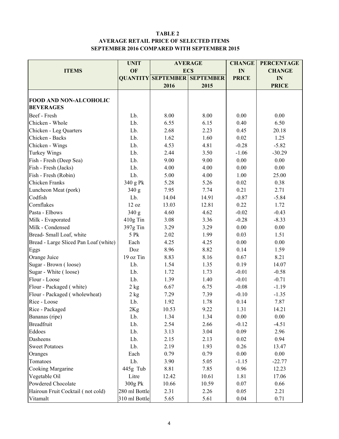## TABLE 2 AVERAGE RETAIL PRICE OF SELECTED ITEMS SEPTEMBER 2016 COMPARED WITH SEPTEMBER 2015

|                                       | <b>UNIT</b>   | <b>AVERAGE</b> | <b>CHANGE</b>                       | <b>PERCENTAGE</b> |               |
|---------------------------------------|---------------|----------------|-------------------------------------|-------------------|---------------|
| <b>ITEMS</b>                          | OF            | <b>ECS</b>     |                                     | IN                | <b>CHANGE</b> |
|                                       |               |                | <b>QUANTITY SEPTEMBER SEPTEMBER</b> | <b>PRICE</b>      | IN            |
|                                       |               | 2016           | 2015                                |                   | <b>PRICE</b>  |
|                                       |               |                |                                     |                   |               |
| <b>FOOD AND NON-ALCOHOLIC</b>         |               |                |                                     |                   |               |
| <b>BEVERAGES</b>                      |               |                |                                     |                   |               |
| Beef - Fresh                          | Lb.           | 8.00           | 8.00                                | 0.00              | 0.00          |
| Chicken - Whole                       | Lb.           | 6.55           | 6.15                                | 0.40              | 6.50          |
| Chicken - Leg Quarters                | Lb.           | 2.68           | 2.23                                | 0.45              | 20.18         |
| Chicken - Backs                       | Lb.           | 1.62           | 1.60                                | 0.02              | 1.25          |
| Chicken - Wings                       | Lb.           | 4.53           | 4.81                                | $-0.28$           | $-5.82$       |
| <b>Turkey Wings</b>                   | Lb.           | 2.44           | 3.50                                | $-1.06$           | $-30.29$      |
| Fish - Fresh (Deep Sea)               | Lb.           | 9.00           | 9.00                                | 0.00              | 0.00          |
| Fish - Fresh (Jacks)                  | Lb.           | 4.00           | 4.00                                | 0.00              | 0.00          |
| Fish - Fresh (Robin)                  | Lb.           | 5.00           | 4.00                                | 1.00              | 25.00         |
| Chicken Franks                        | 340 g Pk      | 5.28           | 5.26                                | 0.02              | 0.38          |
| Luncheon Meat (pork)                  | 340 g         | 7.95           | 7.74                                | 0.21              | 2.71          |
| Codfish                               | Lb.           | 14.04          | 14.91                               | $-0.87$           | $-5.84$       |
| Cornflakes                            | 12 oz         | 13.03          | 12.81                               | 0.22              | 1.72          |
| Pasta - Elbows                        | 340 g         | 4.60           | 4.62                                | $-0.02$           | $-0.43$       |
| Milk - Evaporated                     | 410g Tin      | 3.08           | 3.36                                | $-0.28$           | $-8.33$       |
| Milk - Condensed                      | 397g Tin      | 3.29           | 3.29                                | 0.00              | 0.00          |
| Bread-Small Loaf, white               | 5 Pk          | 2.02           | 1.99                                | 0.03              | 1.51          |
| Bread - Large Sliced Pan Loaf (white) | Each          | 4.25           | 4.25                                | 0.00              | 0.00          |
| Eggs                                  | Doz           | 8.96           | 8.82                                | 0.14              | 1.59          |
| Orange Juice                          | 19 oz Tin     | 8.83           | 8.16                                | 0.67              | 8.21          |
| Sugar - Brown (loose)                 | Lb.           | 1.54           | 1.35                                | 0.19              | 14.07         |
| Sugar - White (loose)                 | Lb.           | 1.72           | 1.73                                | $-0.01$           | $-0.58$       |
| Flour - Loose                         | Lb.           | 1.39           | 1.40                                | $-0.01$           | $-0.71$       |
| Flour - Packaged (white)              | $2$ kg        | 6.67           | 6.75                                | $-0.08$           | $-1.19$       |
| Flour - Packaged (wholewheat)         | 2 kg          | 7.29           | 7.39                                | $-0.10$           | $-1.35$       |
| Rice - Loose                          | Lb.           | 1.92           | 1.78                                | 0.14              | 7.87          |
| Rice - Packaged                       | $2{\rm Kg}$   | 10.53          | 9.22                                | 1.31              | 14.21         |
| Bananas (ripe)                        | Lb.           | 1.34           | 1.34                                | 0.00              | 0.00          |
| <b>Breadfruit</b>                     | Lb.           | 2.54           | 2.66                                | $-0.12$           | $-4.51$       |
| Eddoes                                | Lb.           | 3.13           | 3.04                                | 0.09              | 2.96          |
| Dasheens                              | Lb.           | 2.15           | 2.13                                | 0.02              | 0.94          |
| <b>Sweet Potatoes</b>                 | Lb.           | 2.19           | 1.93                                | 0.26              | 13.47         |
| Oranges                               | Each          | 0.79           | 0.79                                | $0.00\,$          | 0.00          |
| Tomatoes                              | Lb.           | 3.90           | 5.05                                | $-1.15$           | $-22.77$      |
| Cooking Margarine                     | 445g Tub      | 8.81           | 7.85                                | 0.96              | 12.23         |
| Vegetable Oil                         | Litre         | 12.42          | 10.61                               | 1.81              | 17.06         |
| Powdered Chocolate                    | 300g Pk       | 10.66          | 10.59                               | 0.07              | 0.66          |
| Hairoun Fruit Cocktail (not cold)     | 280 ml Bottle | 2.31           | 2.26                                | 0.05              | 2.21          |
| Vitamalt                              | 310 ml Bottle | 5.65           | 5.61                                | 0.04              | 0.71          |
|                                       |               |                |                                     |                   |               |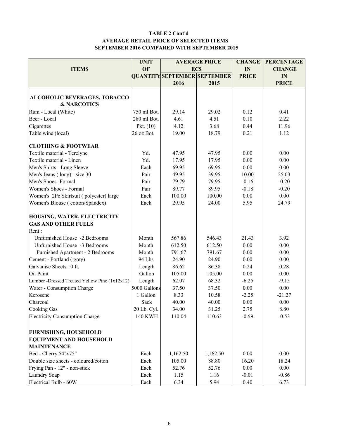#### TABLE 2 Cont'd AVERAGE RETAIL PRICE OF SELECTED ITEMS SEPTEMBER 2016 COMPARED WITH SEPTEMBER 2015

|                                               | <b>UNIT</b><br><b>AVERAGE PRICE</b> |            |                                     | <b>CHANGE</b> | <b>PERCENTAGE</b> |  |
|-----------------------------------------------|-------------------------------------|------------|-------------------------------------|---------------|-------------------|--|
| <b>ITEMS</b>                                  | OF                                  | <b>ECS</b> |                                     | IN            | <b>CHANGE</b>     |  |
|                                               |                                     |            | <b>QUANTITY SEPTEMBER SEPTEMBER</b> | <b>PRICE</b>  | IN                |  |
|                                               |                                     | 2016       | 2015                                |               | <b>PRICE</b>      |  |
|                                               |                                     |            |                                     |               |                   |  |
| ALCOHOLIC BEVERAGES, TOBACCO                  |                                     |            |                                     |               |                   |  |
| <b>&amp; NARCOTICS</b>                        |                                     |            |                                     |               |                   |  |
| Rum - Local (White)                           | 750 ml Bot.                         | 29.14      | 29.02                               | 0.12          | 0.41              |  |
| Beer - Local                                  | 280 ml Bot.                         | 4.61       | 4.51                                | 0.10          | 2.22              |  |
| Cigarettes                                    | Pkt. $(10)$                         | 4.12       | 3.68                                | 0.44          | 11.96             |  |
| Table wine (local)                            | 26 oz Bot.                          | 19.00      | 18.79                               | 0.21          | 1.12              |  |
| <b>CLOTHING &amp; FOOTWEAR</b>                |                                     |            |                                     |               |                   |  |
| Textile material - Terelyne                   | Yd.                                 | 47.95      | 47.95                               | 0.00          | 0.00              |  |
| Textile material - Linen                      | Yd.                                 | 17.95      | 17.95                               | 0.00          | 0.00              |  |
| Men's Shirts - Long Sleeve                    | Each                                | 69.95      | 69.95                               | 0.00          | 0.00              |  |
| Men's Jeans (long) - size 30                  | Pair                                | 49.95      | 39.95                               | 10.00         | 25.03             |  |
| Men's Shoes -Formal                           | Pair                                | 79.79      | 79.95                               | $-0.16$       | $-0.20$           |  |
| Women's Shoes - Formal                        | Pair                                | 89.77      | 89.95                               | $-0.18$       | $-0.20$           |  |
| Women's 2Pc Skirtsuit (polyester) large       | Each                                | 100.00     | 100.00                              | 0.00          | 0.00              |  |
| Women's Blouse (cotton/Spandex)               | Each                                | 29.95      | 24.00                               | 5.95          | 24.79             |  |
| HOUSING, WATER, ELECTRICITY                   |                                     |            |                                     |               |                   |  |
| <b>GAS AND OTHER FUELS</b>                    |                                     |            |                                     |               |                   |  |
| Rent:                                         |                                     |            |                                     |               |                   |  |
| Unfurnished House -2 Bedrooms                 | Month                               | 567.86     | 546.43                              | 21.43         | 3.92              |  |
| Unfurnished House -3 Bedrooms                 | Month                               | 612.50     | 612.50                              | 0.00          | 0.00              |  |
| Furnished Apartment - 2 Bedrooms              | Month                               | 791.67     | 791.67                              | 0.00          | 0.00              |  |
| Cement - Portland (grey)                      | 94 Lbs                              | 24.90      | 24.90                               | 0.00          | 0.00              |  |
| Galvanise Sheets 10 ft.                       | Length                              | 86.62      | 86.38                               | 0.24          | 0.28              |  |
| Oil Paint                                     | Gallon                              | 105.00     | 105.00                              | 0.00          | 0.00              |  |
| Lumber -Dressed Treated Yellow Pine (1x12x12) | Length                              | 62.07      | 68.32                               | $-6.25$       | $-9.15$           |  |
| Water - Consumption Charge                    | 5000 Gallons                        | 37.50      | 37.50                               | 0.00          | 0.00              |  |
| Kerosene                                      | 1 Gallon                            | 8.33       | 10.58                               | $-2.25$       | $-21.27$          |  |
| Charcoal                                      | Sack                                | 40.00      | 40.00                               | 0.00          | 0.00              |  |
| Cooking Gas                                   | 20 Lb. Cyl.                         | 34.00      | 31.25                               | 2.75          | 8.80              |  |
| <b>Electricity Consumption Charge</b>         | <b>140 KWH</b>                      | 110.04     | 110.63                              | $-0.59$       | $-0.53$           |  |
|                                               |                                     |            |                                     |               |                   |  |
| <b>FURNISHING, HOUSEHOLD</b>                  |                                     |            |                                     |               |                   |  |
| <b>EQUIPMENT AND HOUSEHOLD</b>                |                                     |            |                                     |               |                   |  |
| <b>MAINTENANCE</b>                            |                                     |            |                                     |               |                   |  |
| Bed - Cherry 54"x75"                          | Each                                | 1,162.50   | 1,162.50                            | 0.00          | 0.00              |  |
| Double size sheets - coloured/cotton          | Each                                | 105.00     | 88.80                               | 16.20         | 18.24             |  |
| Frying Pan - 12" - non-stick                  | Each                                | 52.76      | 52.76                               | 0.00          | 0.00              |  |
| <b>Laundry Soap</b>                           | Each                                | 1.15       | 1.16                                | $-0.01$       | $-0.86$           |  |
| Electrical Bulb - 60W                         | Each                                | 6.34       | 5.94                                | 0.40          | 6.73              |  |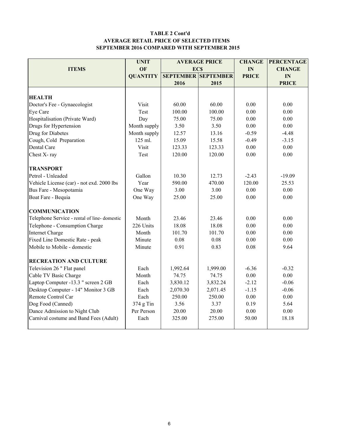#### TABLE 2 Cont'd AVERAGE RETAIL PRICE OF SELECTED ITEMS SEPTEMBER 2016 COMPARED WITH SEPTEMBER 2015

|                                             | <b>UNIT</b>     |                            | <b>AVERAGE PRICE</b> | <b>CHANGE</b> | <b>PERCENTAGE</b> |
|---------------------------------------------|-----------------|----------------------------|----------------------|---------------|-------------------|
| <b>ITEMS</b>                                | OF              | <b>ECS</b>                 |                      | IN            | <b>CHANGE</b>     |
|                                             | <b>QUANTITY</b> | <b>SEPTEMBER SEPTEMBER</b> |                      | <b>PRICE</b>  | IN                |
|                                             |                 | 2016                       | 2015                 |               | <b>PRICE</b>      |
|                                             |                 |                            |                      |               |                   |
| <b>HEALTH</b>                               |                 |                            |                      |               |                   |
| Doctor's Fee - Gynaecologist                | Visit           | 60.00                      | 60.00                | 0.00          | 0.00              |
| Eye Care                                    | Test            | 100.00                     | 100.00               | 0.00          | 0.00              |
| Hospitalisation (Private Ward)              | Day             | 75.00                      | 75.00                | 0.00          | 0.00              |
| Drugs for Hypertension                      | Month supply    | 3.50                       | 3.50                 | 0.00          | 0.00              |
| Drug for Diabetes                           | Month supply    | 12.57                      | 13.16                | $-0.59$       | $-4.48$           |
| Cough, Cold Preparation                     | 125 ml.         | 15.09                      | 15.58                | $-0.49$       | $-3.15$           |
| Dental Care                                 | Visit           | 123.33                     | 123.33               | 0.00          | 0.00              |
| Chest X-ray                                 | Test            | 120.00                     | 120.00               | 0.00          | 0.00              |
| <b>TRANSPORT</b>                            |                 |                            |                      |               |                   |
| Petrol - Unleaded                           | Gallon          | 10.30                      | 12.73                | $-2.43$       | $-19.09$          |
| Vehicle License (car) - not exd. 2000 lbs   | Year            | 590.00                     | 470.00               | 120.00        | 25.53             |
| Bus Fare - Mesopotamia                      | One Way         | 3.00                       | 3.00                 | 0.00          | 0.00              |
| Boat Fare - Bequia                          | One Way         | 25.00                      | 25.00                | 0.00          | 0.00              |
| <b>COMMUNICATION</b>                        |                 |                            |                      |               |                   |
| Telephone Service - rental of line-domestic | Month           | 23.46                      | 23.46                | 0.00          | 0.00              |
| Telephone - Consumption Charge              | 226 Units       | 18.08                      | 18.08                | 0.00          | 0.00              |
| <b>Internet Charge</b>                      | Month           | 101.70                     | 101.70               | 0.00          | 0.00              |
| Fixed Line Domestic Rate - peak             | Minute          | 0.08                       | 0.08                 | 0.00          | 0.00              |
| Mobile to Mobile - domestic                 | Minute          | 0.91                       | 0.83                 | 0.08          | 9.64              |
| <b>RECREATION AND CULTURE</b>               |                 |                            |                      |               |                   |
| Television 26 " Flat panel                  | Each            | 1,992.64                   | 1,999.00             | $-6.36$       | $-0.32$           |
| Cable TV Basic Charge                       | Month           | 74.75                      | 74.75                | 0.00          | 0.00              |
| Laptop Computer -13.3 " screen 2 GB         | Each            | 3,830.12                   | 3,832.24             | $-2.12$       | $-0.06$           |
| Desktop Computer - 14" Monitor 3 GB         | Each            | 2,070.30                   | 2,071.45             | $-1.15$       | $-0.06$           |
| Remote Control Car                          | Each            | 250.00                     | 250.00               | 0.00          | 0.00              |
| Dog Food (Canned)                           | $374$ g Tin     | 3.56                       | 3.37                 | 0.19          | 5.64              |
| Dance Admission to Night Club               | Per Person      | 20.00                      | 20.00                | 0.00          | 0.00              |
| Carnival costume and Band Fees (Adult)      | Each            | 325.00                     | 275.00               | 50.00         | 18.18             |
|                                             |                 |                            |                      |               |                   |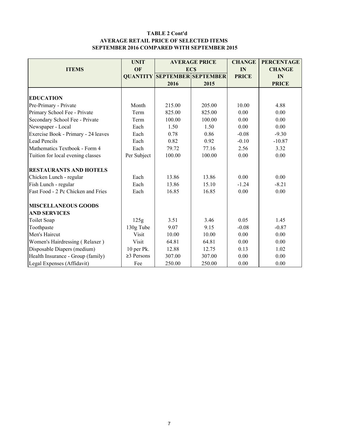#### TABLE 2 Cont'd AVERAGE RETAIL PRICE OF SELECTED ITEMS SEPTEMBER 2016 COMPARED WITH SEPTEMBER 2015

|                                     | <b>UNIT</b>      | <b>AVERAGE PRICE</b>                |            | <b>CHANGE</b> | <b>PERCENTAGE</b> |
|-------------------------------------|------------------|-------------------------------------|------------|---------------|-------------------|
| <b>ITEMS</b>                        | OF               |                                     | <b>ECS</b> | IN            | <b>CHANGE</b>     |
|                                     |                  | <b>QUANTITY SEPTEMBER SEPTEMBER</b> |            | <b>PRICE</b>  | IN                |
|                                     |                  | 2016                                | 2015       |               | <b>PRICE</b>      |
|                                     |                  |                                     |            |               |                   |
| <b>EDUCATION</b>                    |                  |                                     |            |               |                   |
| Pre-Primary - Private               | Month            | 215.00                              | 205.00     | 10.00         | 4.88              |
| Primary School Fee - Private        | Term             | 825.00                              | 825.00     | 0.00          | 0.00              |
| Secondary School Fee - Private      | Term             | 100.00                              | 100.00     | 0.00          | 0.00              |
| Newspaper - Local                   | Each             | 1.50                                | 1.50       | 0.00          | 0.00              |
| Exercise Book - Primary - 24 leaves | Each             | 0.78                                | 0.86       | $-0.08$       | $-9.30$           |
| <b>Lead Pencils</b>                 | Each             | 0.82                                | 0.92       | $-0.10$       | $-10.87$          |
| Mathematics Textbook - Form 4       | Each             | 79.72                               | 77.16      | 2.56          | 3.32              |
| Tuition for local evening classes   | Per Subject      | 100.00                              | 100.00     | 0.00          | 0.00              |
| <b>RESTAURANTS AND HOTELS</b>       |                  |                                     |            |               |                   |
| Chicken Lunch - regular             | Each             | 13.86                               | 13.86      | 0.00          | 0.00              |
| Fish Lunch - regular                | Each             | 13.86                               | 15.10      | $-1.24$       | $-8.21$           |
| Fast Food - 2 Pc Chicken and Fries  | Each             | 16.85                               | 16.85      | 0.00          | 0.00              |
| <b>MISCELLANEOUS GOODS</b>          |                  |                                     |            |               |                   |
| <b>AND SERVICES</b>                 |                  |                                     |            |               |                   |
| <b>Toilet Soap</b>                  | 125g             | 3.51                                | 3.46       | 0.05          | 1.45              |
| Toothpaste                          | 130g Tube        | 9.07                                | 9.15       | $-0.08$       | $-0.87$           |
| Men's Haircut                       | Visit            | 10.00<br>10.00                      |            | 0.00          | 0.00              |
| Women's Hairdressing (Relaxer)      | Visit            | 64.81                               | 64.81      | 0.00          | 0.00              |
| Disposable Diapers (medium)         | 10 per Pk.       | 12.88                               | 12.75      | 0.13          | 1.02              |
| Health Insurance - Group (family)   | $\geq$ 3 Persons | 307.00                              | 307.00     | 0.00          | 0.00              |
| Legal Expenses (Affidavit)          | Fee              | 250.00                              | 250.00     | 0.00          | 0.00              |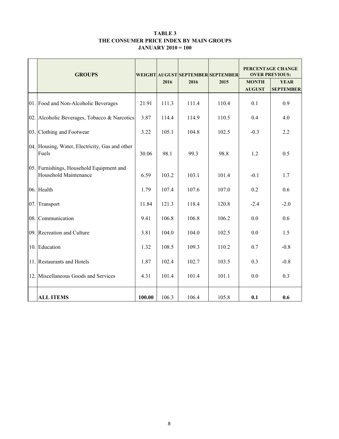#### TABLE 3 THE CONSUMER PRICE INDEX BY MAIN GROUPS JANUARY 2010 = 100

| <b>GROUPS</b>                                                     |        |       |       | WEIGHT AUGUST SEPTEMBER SEPTEMBER | PERCENTAGE CHANGE<br><b>OVER PREVIOUS:</b> |                                 |  |
|-------------------------------------------------------------------|--------|-------|-------|-----------------------------------|--------------------------------------------|---------------------------------|--|
|                                                                   |        | 2016  | 2016  | 2015                              | <b>MONTH</b><br><b>AUGUST</b>              | <b>YEAR</b><br><b>SEPTEMBER</b> |  |
| 01. Food and Non-Alcoholic Beverages                              | 21.91  | 111.3 | 111.4 | 110.4                             | 0.1                                        | 0.9                             |  |
| 02. Alcoholic Beverages, Tobacco & Narcotics                      | 3.87   | 114.4 | 114.9 | 110.5                             | 0.4                                        | 4.0                             |  |
| 03. Clothing and Footwear                                         | 3.22   | 105.1 | 104.8 | 102.5                             | $-0.3$                                     | 2.2                             |  |
| 04. Housing, Water, Electricity, Gas and other<br>Fuels           | 30.06  | 98.1  | 99.3  | 98.8                              | 1.2                                        | 0.5                             |  |
| 05. Furnishings, Household Equipment and<br>Household Maintenance | 6.59   | 103.2 | 103.1 | 101.4                             | $-0.1$                                     | 1.7                             |  |
| 06. Health                                                        | 1.79   | 107.4 | 107.6 | 107.0                             | 0.2                                        | 0.6                             |  |
| 07. Transport                                                     | 11.84  | 121.3 | 118.4 | 120.8                             | $-2.4$                                     | $-2.0$                          |  |
| 08. Communication                                                 | 9.41   | 106.8 | 106.8 | 106.2                             | 0.0                                        | 0.6                             |  |
| 09. Recreation and Culture                                        | 3.81   | 104.0 | 104.0 | 102.5                             | 0.0                                        | 1.5                             |  |
| 10. Education                                                     | 1.32   | 108.5 | 109.3 | 110.2                             | 0.7                                        | $-0.8$                          |  |
| 11. Restaurants and Hotels                                        | 1.87   | 102.4 | 102.7 | 103.5                             | 0.3                                        | $-0.8$                          |  |
| 12. Miscellaneous Goods and Services                              | 4.31   | 101.4 | 101.4 | 101.1                             | 0.0                                        | 0.3                             |  |
| <b>ALL ITEMS</b>                                                  | 100.00 | 106.3 | 106.4 | 105.8                             | 0.1                                        | 0.6                             |  |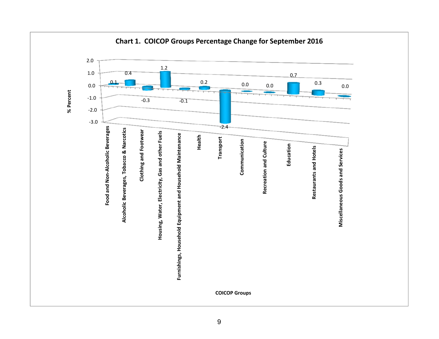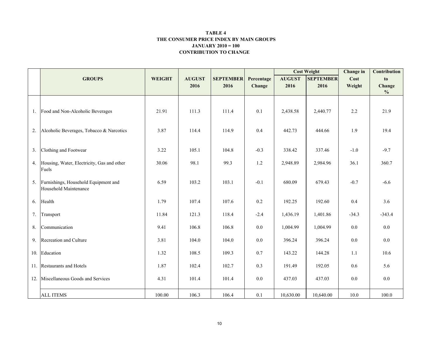#### CONTRIBUTION TO CHANGE TABLE 4 THE CONSUMER PRICE INDEX BY MAIN GROUPSJANUARY 2010 = 100

|     |                                                               |               |               |                  |            |               | <b>Cost Weight</b> | <b>Change</b> in | <b>Contribution</b> |
|-----|---------------------------------------------------------------|---------------|---------------|------------------|------------|---------------|--------------------|------------------|---------------------|
|     | <b>GROUPS</b>                                                 | <b>WEIGHT</b> | <b>AUGUST</b> | <b>SEPTEMBER</b> | Percentage | <b>AUGUST</b> | <b>SEPTEMBER</b>   | Cost             | to                  |
|     |                                                               |               | 2016          | 2016             | Change     | 2016          | 2016               | Weight           | Change              |
|     |                                                               |               |               |                  |            |               |                    |                  | $\frac{0}{0}$       |
|     | 1. Food and Non-Alcoholic Beverages                           | 21.91         | 111.3         | 111.4            | 0.1        | 2,438.58      | 2,440.77           | 2.2              | 21.9                |
| 2.  | Alcoholic Beverages, Tobacco & Narcotics                      | 3.87          | 114.4         | 114.9            | 0.4        | 442.73        | 444.66             | 1.9              | 19.4                |
| 3.  | Clothing and Footwear                                         | 3.22          | 105.1         | 104.8            | $-0.3$     | 338.42        | 337.46             | $-1.0$           | $-9.7$              |
| 4.  | Housing, Water, Electricity, Gas and other<br>Fuels           | 30.06         | 98.1          | 99.3             | 1.2        | 2,948.89      | 2,984.96           | 36.1             | 360.7               |
| 5.  | Furnishings, Household Equipment and<br>Household Maintenance | 6.59          | 103.2         | 103.1            | $-0.1$     | 680.09        | 679.43             | $-0.7$           | $-6.6$              |
| 6.  | Health                                                        | 1.79          | 107.4         | 107.6            | $0.2\,$    | 192.25        | 192.60             | 0.4              | 3.6                 |
| 7.  | Transport                                                     | 11.84         | 121.3         | 118.4            | $-2.4$     | 1,436.19      | 1,401.86           | $-34.3$          | $-343.4$            |
| 8.  | Communication                                                 | 9.41          | 106.8         | 106.8            | 0.0        | 1,004.99      | 1,004.99           | $0.0\,$          | $0.0\,$             |
| 9.  | Recreation and Culture                                        | 3.81          | 104.0         | 104.0            | $0.0\,$    | 396.24        | 396.24             | $0.0\,$          | $0.0\,$             |
|     | 10. Education                                                 | 1.32          | 108.5         | 109.3            | 0.7        | 143.22        | 144.28             | 1.1              | 10.6                |
|     | 11. Restaurants and Hotels                                    | 1.87          | 102.4         | 102.7            | 0.3        | 191.49        | 192.05             | 0.6              | 5.6                 |
| 12. | Miscellaneous Goods and Services                              | 4.31          | 101.4         | 101.4            | 0.0        | 437.03        | 437.03             | 0.0              | 0.0                 |
|     | <b>ALL ITEMS</b>                                              | 100.00        | 106.3         | 106.4            | 0.1        | 10,630.00     | 10,640.00          | 10.0             | 100.0               |